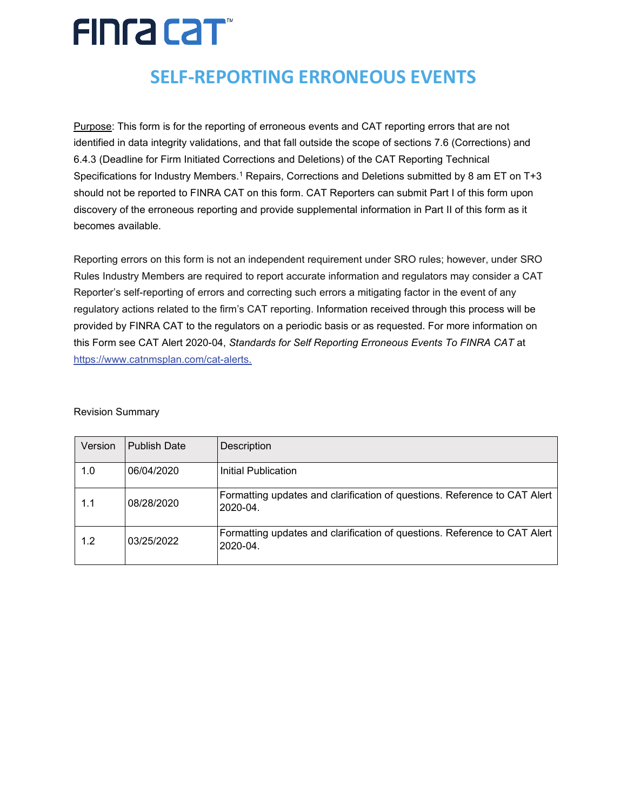# FING CAT

## **SELF-REPORTING ERRONEOUS EVENTS**

Purpose: This form is for the reporting of erroneous events and CAT reporting errors that are not identified in data integrity validations, and that fall outside the scope of sections 7.6 (Corrections) and 6.4.3 (Deadline for Firm Initiated Corrections and Deletions) of the CAT Reporting Technical Specifications for Industry Members.<sup>1</sup> Repairs, Corrections and Deletions submitted by 8 am ET on T+3 should not be reported to FINRA CAT on this form. CAT Reporters can submit Part I of this form upon discovery of the erroneous reporting and provide supplemental information in Part II of this form as it becomes available.

Reporting errors on this form is not an independent requirement under SRO rules; however, under SRO Rules Industry Members are required to report accurate information and regulators may consider a CAT Reporter's self-reporting of errors and correcting such errors a mitigating factor in the event of any regulatory actions related to the firm's CAT reporting. Information received through this process will be provided by FINRA CAT to the regulators on a periodic basis or as requested. For more information on this Form see CAT Alert 2020-04, *Standards for Self Reporting Erroneous Events To FINRA CAT* at <https://www.catnmsplan.com/cat-alerts.>

#### Revision Summary

| Version | <b>Publish Date</b> | Description                                                                           |
|---------|---------------------|---------------------------------------------------------------------------------------|
| 1.0     | 06/04/2020          | Initial Publication                                                                   |
| 1.1     | 08/28/2020          | Formatting updates and clarification of questions. Reference to CAT Alert<br>2020-04. |
| 1.2     | 03/25/2022          | Formatting updates and clarification of questions. Reference to CAT Alert<br>2020-04. |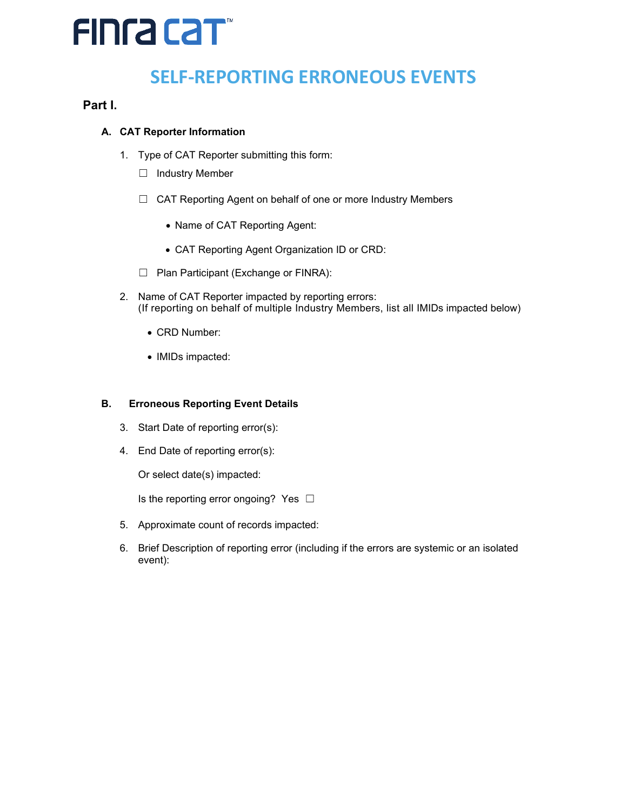# FINFA CAT

## **SELF-REPORTING ERRONEOUS EVENTS**

### **Part I.**

### **A. CAT Reporter Information**

- 1. Type of CAT Reporter submitting this form:
	- ☐ Industry Member
	- ☐ CAT Reporting Agent on behalf of one or more Industry Members
		- Name of CAT Reporting Agent:
		- CAT Reporting Agent Organization ID or CRD:
	- ☐ Plan Participant (Exchange or FINRA):
- 2. Name of CAT Reporter impacted by reporting errors: (If reporting on behalf of multiple Industry Members, list all IMIDs impacted below)
	- CRD Number:
	- IMIDs impacted:

### **B. Erroneous Reporting Event Details**

- 3. Start Date of reporting error(s):
- 4. End Date of reporting error(s):

Or select date(s) impacted:

Is the reporting error ongoing? Yes  $\Box$ 

- 5. Approximate count of records impacted:
- 6. Brief Description of reporting error (including if the errors are systemic or an isolated event):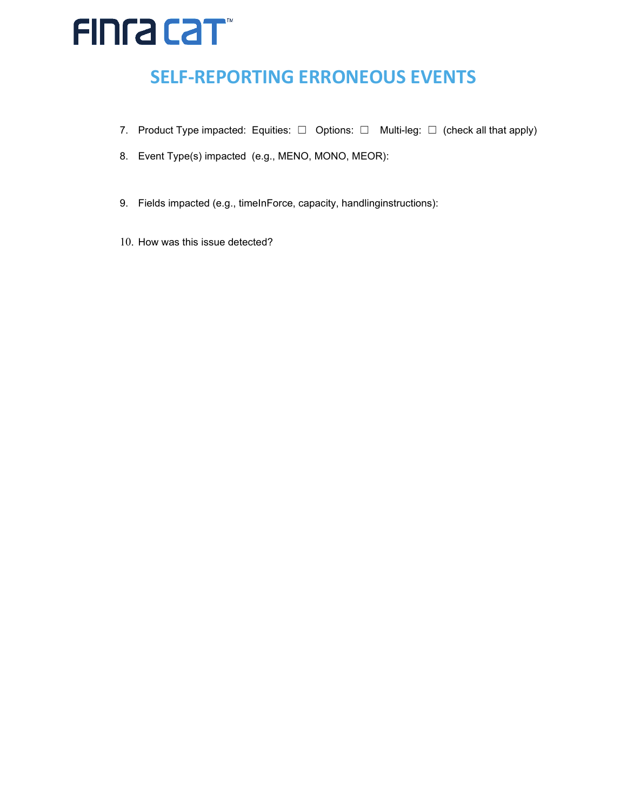# FINFA CAT

## **SELF-REPORTING ERRONEOUS EVENTS**

- 7. Product Type impacted: Equities: □ Options: □ Multi-leg: □ (check all that apply)
- 8. Event Type(s) impacted (e.g., MENO, MONO, MEOR):
- 9. Fields impacted (e.g., timeInForce, capacity, handlinginstructions):
- 10. How was this issue detected?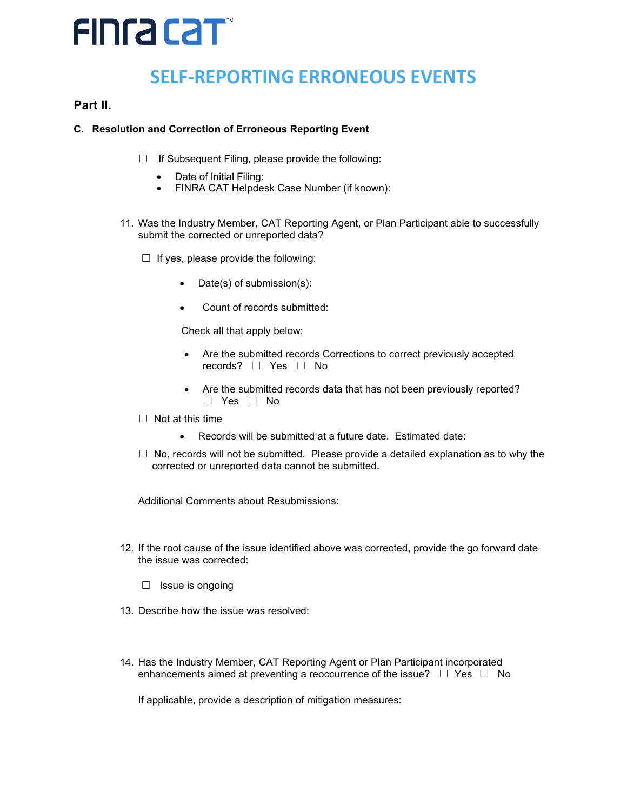# FINFA CAT

## **SELF-REPORTING ERRONEOUS EVENTS**

### **Part II.**

#### **C. Resolution and Correction of Erroneous Reporting Event**

- $\Box$  If Subsequent Filing, please provide the following:
	- Date of Initial Filing:
	- FINRA CAT Helpdesk Case Number (if known):
- 11. Was the Industry Member, CAT Reporting Agent, or Plan Participant able to successfully submit the corrected or unreported data?
	- $\Box$  If yes, please provide the following:
		- Date(s) of submission(s):
		- Count of records submitted:

Check all that apply below:

- Are the submitted records Corrections to correct previously accepted records? ☐ Yes ☐ No
- Are the submitted records data that has not been previously reported? ☐ Yes ☐ No
- $\Box$  Not at this time
	- Records will be submitted at a future date. Estimated date:
- $\Box$  No, records will not be submitted. Please provide a detailed explanation as to why the corrected or unreported data cannot be submitted.

Additional Comments about Resubmissions:

- 12. If the root cause of the issue identified above was corrected, provide the go forward date the issue was corrected:
	- □ Issue is ongoing
- 13. Describe how the issue was resolved:
- 14. Has the Industry Member, CAT Reporting Agent or Plan Participant incorporated enhancements aimed at preventing a reoccurrence of the issue?  $\Box$  Yes  $\Box$  No

If applicable, provide a description of mitigation measures: